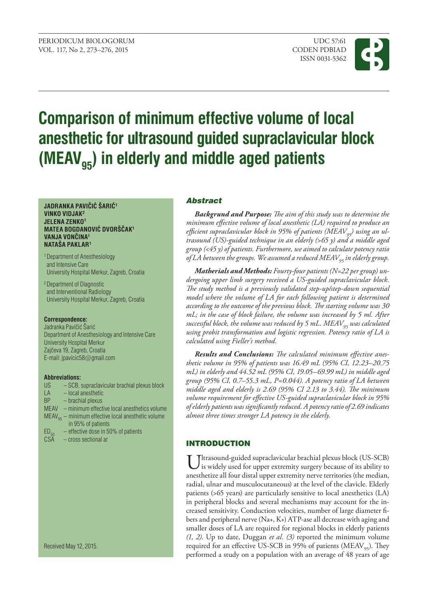

# **Comparison of minimum effective volume of local anesthetic for ultrasound guided supraclavicular block** (MEAV<sub>95</sub>) in elderly and middle aged patients

#### **JADRANKA PAVIČIĆ ŠARIĆ<sup>1</sup> VINKO VIDJAK2 JELENA ZENKO1 MATEA BOGDANOVIĆ DVORŠČAK<sup>1</sup> VANJA VONČINA<sup>1</sup> NATAŠA PAKLAR<sup>1</sup>**

1 Department of Anesthesiology and Intensive Care University Hospital Merkur, Zagreb, Croatia

2 Department of Diagnostic and Interventional Radiology University Hospital Merkur, Zagreb, Croatia

#### **Correspondence:**

Jadranka Pavičić Šarić Department of Anesthesiology and Intensive Care University Hospital Merkur Zajčeva 19, Zagreb, Croatia E-mail: jpavicic58@[gmail.com](mailto:jpavicic58@gmail.com)

#### **Abbreviations:**

| <b>US</b> | - SCB, supraclavicular brachial plexus block                   |  |  |
|-----------|----------------------------------------------------------------|--|--|
| <b>LA</b> | $-$ local anesthetic                                           |  |  |
| <b>BP</b> | - brachial plexus                                              |  |  |
|           | MEAV - minimum effective local anesthetics volume              |  |  |
|           | $MEAV_{\text{as}}$ – minimum effective local anesthetic volume |  |  |
|           | in 95% of patients                                             |  |  |
| $ED_{50}$ | $-$ effective dose in 50% of patients                          |  |  |
|           | the contract of the contract of the contract of the con-       |  |  |

CSA – cross sectional ar

Received May 12, 2015.

### Abstract

*Backgrund and purpose: The aim of this study was to determine the minimum effective volume of local anesthetic (LA) required to produce an*  efficient supraclavicular block in 95% of patients (MEAV<sub>95</sub>) using an ul*trasound (US)-guided technique in an elderly (>65 y) and a middle aged group (<45 y) of patients. Furthermore, we aimed to calculate potency ratio of LA between the groups. We assumed a reduced MEAV*<sub>95</sub> in elderly group.

*Matherials and Methods: Fourty-four patients (N=22 per group) undergoing upper limb surgery received a US-guided supraclavicular block. The study method is a previously validated step-up/step-down sequential model where the volume of LA for each following patient is determined according to the outcome of the previous block. The starting volume was 30 mL; in the case of block failure, the volume was increased by 5 ml. After successful block, the volume was reduced by 5 mL. MEAV<sub>95</sub> was calculated using probit transformation and logistic regression. Potency ratio of LA is calculated using Fieller's method.*

*Results and Conclusions: The calculated minimum effective anesthetic volume in 95% of patients was 16.49 mL (95% CI, 12.23–20.75 mL) in elderly and 44.52 mL (95% CI, 19.05–69.99 mL) in middle aged group (95% CI, 0.7–55.3 mL, P=0.044). A potency ratio of LA between middle aged and elderly is 2.69 (95% CI 2.13 to 3.44). The minimum volume requirement for effective US-guided supraclavicular block in 95% of elderly patients was significantly reduced. A potency ratio of 2.69 indicates almost three times stronger LA potency in the elderly.* 

# **INTRODUCTION**

Ultrasound-guided supraclavicular brachial plexus block (US-SCB) is widely used for upper extremity surgery because of its ability to anesthetize all four distal upper extremity nerve territories (the median, radial, ulnar and musculocutaneous) at the level of the clavicle. Elderly patients (>65 years) are particularly sensitive to local anesthetics (LA) in peripheral blocks and several mechanisms may account for the increased sensitivity. Conduction velocities, number of large diameter fibers and peripheral nerve (Na+, K+) ATP-ase all decrease with aging and smaller doses of LA are required for regional blocks in elderly patients *(1, 2)*. Up to date, Duggan *et al. (3)* reported the minimum volume required for an effective US-SCB in 95% of patients ( $MEAV_{95}$ ). They performed a study on a population with an average of 48 years of age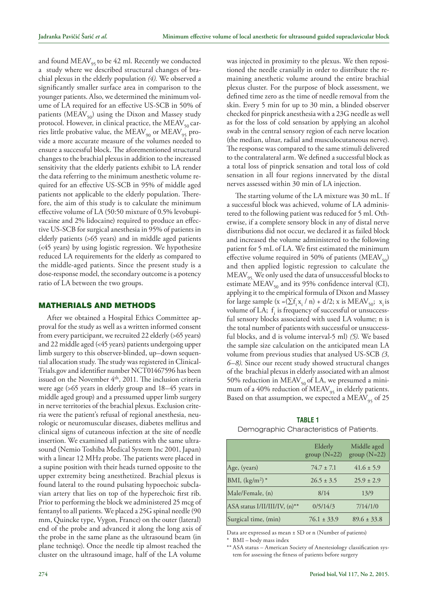and found  $\text{MEAV}_{95}$  to be 42 ml. Recently we conducted a study where we described structural changes of brachial plexus in the elderly population *(4)*. We observed a significantly smaller surface area in comparison to the younger patients. Also, we determined the minimum volume of LA required for an effective US-SCB in 50% of patients ( $MEAV_{50}$ ) using the Dixon and Massey study protocol. However, in clinical practice, the  $MEAV_{50}$  carries little probative value, the MEAV<sub>90</sub> or MEAV<sub>95</sub> provide a more accurate measure of the volumes needed to ensure a successful block. The aforementioned structural changes to the brachial plexus in addition to the increased sensitivity that the elderly patients exhibit to LA render the data referring to the minimum anesthetic volume required for an effective US-SCB in 95% of middle aged patients not applicable to the elderly population. Therefore, the aim of this study is to calculate the minimum effective volume of LA (50:50 mixture of 0.5% levobupivacaine and 2% lidocaine) required to produce an effective US-SCB for surgical anesthesia in 95% of patients in elderly patients (>65 years) and in middle aged patients (<45 years) by using logistic regression. We hypothesize reduced LA requirements for the elderly as compared to the middle-aged patients. Since the present study is a dose-response model, the secondary outcome is a potency ratio of LA between the two groups.

#### Matherials and Methods

After we obtained a Hospital Ethics Committee approval for the study as well as a written informed consent from every participant, we recruited 22 elderly (>65 years) and 22 middle aged (<45 years) patients undergoing upper limb surgery to this observer-blinded, up–down sequential allocation study. The study was registered in Clinical-Trials.gov and identifier number NCT01467596 has been issued on the November 4<sup>th</sup>, 2011. The inclusion criteria were age (>65 years in elderly group and 18–45 years in middle aged group) and a pressumed upper limb surgery in nerve territories of the brachial plexus. Exclusion criteria were the patient's refusal of regional anesthesia, neurologic or neuromuscular diseases, diabetes mellitus and clinical signs of cutaneous infection at the site of needle insertion. We examined all patients with the same ultrasound (Nemio Toshiba Medical System Inc 2001, Japan) with a linear 12 MHz probe. The patients were placed in a supine position with their heads turned opposite to the upper extremity being anesthetized. Brachial plexus is found lateral to the round pulsating hypoechoic subclavian artery that lies on top of the hyperechoic first rib. Prior to performing the block we administered 25 mcg of fentanyl to all patients. We placed a 25G spinal needle (90 mm, Quincke type, Vygon, France) on the outer (lateral) end of the probe and advanced it along the long axis of the probe in the same plane as the ultrasound beam (in plane techniqe). Once the needle tip almost reached the cluster on the ultrasound image, half of the LA volume

was injected in proximity to the plexus. We then repositioned the needle cranially in order to distribute the remaining anesthetic volume around the entire brachial plexus cluster. For the purpose of block assessment, we defined time zero as the time of needle removal from the skin. Every 5 min for up to 30 min, a blinded observer checked for pinprick anesthesia with a 23G needle as well as for the loss of cold sensation by applying an alcohol swab in the central sensory region of each nerve location (the median, ulnar, radial and musculocutaneous nerve). The response was compared to the same stimuli delivered to the contralateral arm. We defined a successful block as a total loss of pinprick sensation and total loss of cold sensation in all four regions innervated by the distal nerves assessed within 30 min of LA injection.

The starting volume of the LA mixture was 30 mL. If a successful block was achieved, volume of LA administered to the following patient was reduced for 5 ml. Otherwise, if a complete sensory block in any of distal nerve distributions did not occur, we declared it as failed block and increased the volume administered to the following patient for 5 mL of LA. We first estimated the minimum effective volume required in 50% of patients (MEAV<sub>50</sub>) and then applied logistic regression to calculate the MEAV<sub>95.</sub> We only used the data of unsuccessful blocks to estimate  $\text{MEAV}_{50}$  and its 95% confidence interval (CI), applying it to the empirical formula of Dixon and Massey for large sample  $(x = (\sum f_i x_i / n) + d/2; x$  is MEAV<sub>50</sub>;  $x_i$  is volume of LA;  $f_i$  is frequency of successful or unsuccessful sensory blocks associated with used LA volume; n is the total number of patients with successful or unsuccessful blocks, and d is volume interval-5 ml) *(5)*. We based the sample size calculation on the anticipated mean LA volume from previous studies that analysed US-SCB *(3, 6–8)*. Since our recent study showed structural changes of the brachial plexus in elderly associated with an almost 50% reduction in MEAV $_{50}$  of LA, we presumed a minimum of a 40% reduction of  $MEAV_{95}$  in elderly patients. Based on that assumption, we expected a MEAV<sub>95</sub> of 25

## **Table 1** Demographic Characteristics of Patients.

|                               | Elderly<br>group $(N=22)$ | Middle aged<br>group $(N=22)$ |
|-------------------------------|---------------------------|-------------------------------|
| Age, (years)                  | $74.7 \pm 7.1$            | $41.6 \pm 5.9$                |
| BMI, $(kg/m^2)^*$             | $26.5 \pm 3.5$            | $25.9 \pm 2.9$                |
| Male/Female, (n)              | 8/14                      | 13/9                          |
| ASA status I/II/III/IV, (n)** | 0/5/14/3                  | 7/14/1/0                      |
| Surgical time, (min)          | $76.1 \pm 33.9$           | $89.6 \pm 33.8$               |

Data are expressed as mean  $\pm$  SD or n (Number of patients)

BMI – body mass index

\*\* ASA status – American Society of Anestesiology classification system for assessing the fitness of patients before surgery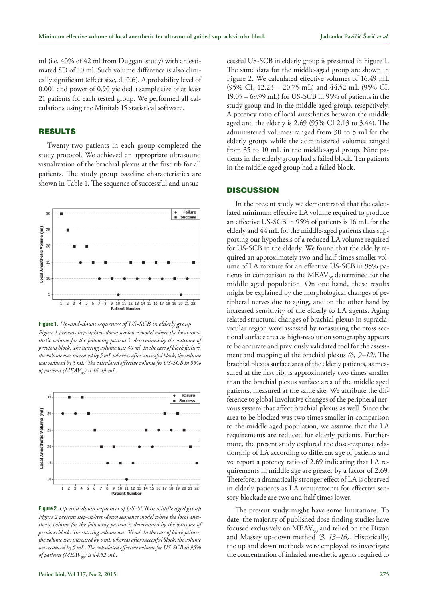ml (i.e. 40% of 42 ml from Duggan' study) with an estimated SD of 10 ml. Such volume difference is also clinically significant (effect size, d=0.6). A probability level of 0.001 and power of 0.90 yielded a sample size of at least 21 patients for each tested group. We performed all calculations using the Minitab 15 statistical software.

### **RESULTS**

Twenty-two patients in each group completed the study protocol*.* We achieved an appropriate ultrasound visualization of the brachial plexus at the first rib for all patients. The study group baseline characteristics are shown in Table 1. The sequence of successful and unsuc-



**Figure 1.** *Up-and-down sequences of US-SCB in elderly group*

*Figure 1 presents step-up/step-down sequence model where the local anesthetic volume for the following patient is determined by the outcome of previous block. The starting volume was 30 ml. In the case of block failure, the volume was increased by 5 mL whereas after successful block, the volume was reduced by 5 mL. The calculated effective volume for US-SCB in 95% of patients (MEAV95) is 16.49 mL.*



**Figure 2.** *Up-and-down sequences of US-SCB in middle aged group Figure 2 presents step-up/step-down sequence model where the local anesthetic volume for the following patient is determined by the outcome of previous block. The starting volume was 30 ml. In the case of block failure, the volume was increased by 5 mL whereas after successful block, the volume was reduced by 5 mL. The calculated effective volume for US-SCB in 95% of patients (MEAV95) is 44.52 mL.*

cessful US-SCB in elderly group is presented in Figure 1. The same data for the middle-aged group are shown in Figure 2. We calculated effective volumes of 16.49 mL (95% CI, 12.23 – 20.75 mL) and 44.52 mL (95% CI, 19.05 – 69.99 mL) for US-SCB in 95% of patients in the study group and in the middle aged group, resepctively. A potency ratio of local anesthetics between the middle aged and the elderly is 2.69 (95% CI 2.13 to 3.44). The administered volumes ranged from 30 to 5 mLfor the elderly group, while the administered volumes ranged from 35 to 10 mL in the middle-aged group. Nine patients in the elderly group had a failed block. Ten patients in the middle-aged group had a failed block.

#### **DISCUSSION**

In the present study we demonstrated that the calculated minimum effective LA volume required to produce an effective US-SCB in 95% of patients is 16 mL for the elderly and 44 mL for the middle-aged patients thus supporting our hypothesis of a reduced LA volume required for US-SCB in the elderly. We found that the elderly required an approximately two and half times smaller volume of LA mixture for an effective US-SCB in 95% patients in comparison to the  $MEAV_{95}$  determined for the middle aged population. On one hand, these results might be explained by the morphological changes of peripheral nerves due to aging, and on the other hand by increased sensitivity of the elderly to LA agents. Aging related structural changes of brachial plexus in supraclavicular region were assessed by measuring the cross sectional surface area as high-resolution sonography appears to be accurate and previously validated tool for the assessment and mapping of the brachial plexus *(6, 9–12)*. The brachial plexus surface area of the elderly patients, as measured at the first rib, is approximately two times smaller than the brachial plexus surface area of the middle aged patients, measured at the same site. We attribute the difference to global involutive changes of the peripheral nervous system that affect brachial plexus as well. Since the area to be blocked was two times smaller in comparison to the middle aged population, we assume that the LA requirements are reduced for elderly patients. Furthermore, the present study explored the dose-response relationship of LA according to different age of patients and we report a potency ratio of 2.69 indicating that LA requirements in middle age are greater by a factor of 2.69. Therefore, a dramatically stronger effect of LA is observed in elderly patients as LA requirements for effective sensory blockade are two and half times lower.

The present study might have some limitations. To date, the majority of published dose-finding studies have focused exclusively on  $MEAV_{50}$  and relied on the Dixon and Massey up-down method *(3, 13–16).* Historically, the up and down methods were employed to investigate the concentration of inhaled anesthetic agents required to